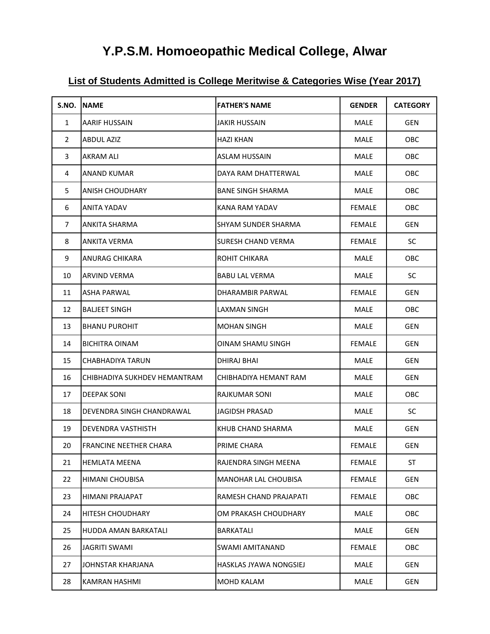# **Y.P.S.M. Homoeopathic Medical College, Alwar**

## **List of Students Admitted is College Meritwise & Categories Wise (Year 2017)**

| S.NO.        | <b>INAME</b>                 | <b>FATHER'S NAME</b>       | <b>GENDER</b> | <b>CATEGORY</b> |
|--------------|------------------------------|----------------------------|---------------|-----------------|
| $\mathbf{1}$ | AARIF HUSSAIN                | JAKIR HUSSAIN              | MALE          | <b>GEN</b>      |
| $\mathbf{2}$ | <b>ABDUL AZIZ</b>            | <b>HAZI KHAN</b>           | <b>MALE</b>   | <b>OBC</b>      |
| 3            | AKRAM ALI                    | <b>ASLAM HUSSAIN</b>       | <b>MALE</b>   | <b>OBC</b>      |
| 4            | <b>ANAND KUMAR</b>           | DAYA RAM DHATTERWAL        | MALE          | <b>OBC</b>      |
| 5            | ANISH CHOUDHARY              | BANE SINGH SHARMA          | MALE          | <b>OBC</b>      |
| 6            | ANITA YADAV                  | KANA RAM YADAV             | <b>FEMALE</b> | OBC             |
| 7            | ANKITA SHARMA                | <b>SHYAM SUNDER SHARMA</b> | <b>FEMALE</b> | <b>GEN</b>      |
| 8            | <b>ANKITA VERMA</b>          | <b>SURESH CHAND VERMA</b>  | <b>FEMALE</b> | <b>SC</b>       |
| 9            | ANURAG CHIKARA               | ROHIT CHIKARA              | MALE          | OBC             |
| 10           | <b>ARVIND VERMA</b>          | <b>BABU LAL VERMA</b>      | MALE          | SC              |
| 11           | <b>ASHA PARWAL</b>           | DHARAMBIR PARWAL           | <b>FEMALE</b> | <b>GEN</b>      |
| 12           | <b>BALJEET SINGH</b>         | LAXMAN SINGH               | MALE          | <b>OBC</b>      |
| 13           | <b>BHANU PUROHIT</b>         | <b>MOHAN SINGH</b>         | MALE          | <b>GEN</b>      |
| 14           | <b>BICHITRA OINAM</b>        | OINAM SHAMU SINGH          | <b>FEMALE</b> | <b>GEN</b>      |
| 15           | CHABHADIYA TARUN             | DHIRAJ BHAI                | <b>MALE</b>   | <b>GEN</b>      |
| 16           | CHIBHADIYA SUKHDEV HEMANTRAM | CHIBHADIYA HEMANT RAM      | MALE          | <b>GEN</b>      |
| 17           | <b>DEEPAK SONI</b>           | RAJKUMAR SONI              | MALE          | ОВС             |
| 18           | DEVENDRA SINGH CHANDRAWAL    | JAGIDSH PRASAD             | MALE          | <b>SC</b>       |
| 19           | <b>DEVENDRA VASTHISTH</b>    | KHUB CHAND SHARMA          | MALE          | <b>GEN</b>      |
| 20           | FRANCINE NEETHER CHARA       | PRIME CHARA                | <b>FEMALE</b> | GEN             |
| 21           | <b>HEMLATA MEENA</b>         | RAJENDRA SINGH MEENA       | <b>FEMALE</b> | ST              |
| 22           | HIMANI CHOUBISA              | MANOHAR LAL CHOUBISA       | <b>FEMALE</b> | GEN             |
| 23           | HIMANI PRAJAPAT              | RAMESH CHAND PRAJAPATI     | <b>FEMALE</b> | <b>OBC</b>      |
| 24           | <b>HITESH CHOUDHARY</b>      | OM PRAKASH CHOUDHARY       | MALE          | OBC             |
| 25           | <b>HUDDA AMAN BARKATALI</b>  | BARKATALI                  | MALE          | GEN             |
| 26           | <b>JAGRITI SWAMI</b>         | <b>SWAMI AMITANAND</b>     | <b>FEMALE</b> | OBC             |
| 27           | JOHNSTAR KHARJANA            | HASKLAS JYAWA NONGSIEJ     | MALE          | GEN             |
| 28           | KAMRAN HASHMI                | <b>MOHD KALAM</b>          | MALE          | GEN             |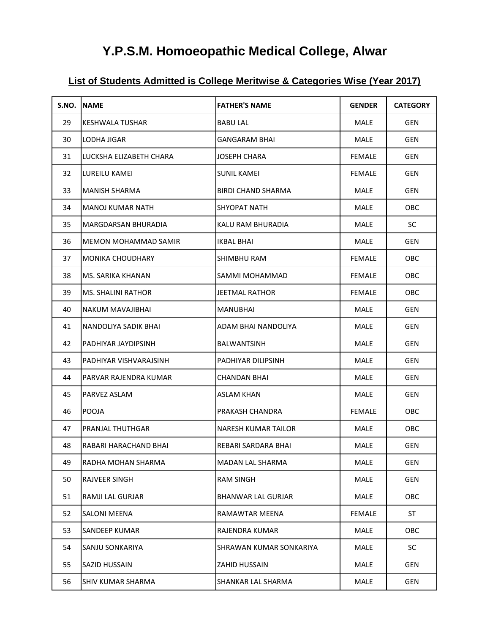# **Y.P.S.M. Homoeopathic Medical College, Alwar**

## **List of Students Admitted is College Meritwise & Categories Wise (Year 2017)**

| S.NO. | <b>INAME</b>              | <b>FATHER'S NAME</b>       | <b>GENDER</b> | <b>CATEGORY</b> |
|-------|---------------------------|----------------------------|---------------|-----------------|
| 29    | KESHWALA TUSHAR           | <b>BABU LAL</b>            | MALE          | <b>GEN</b>      |
| 30    | LODHA JIGAR               | <b>GANGARAM BHAI</b>       | MALE          | <b>GEN</b>      |
| 31    | LUCKSHA ELIZABETH CHARA   | <b>JOSEPH CHARA</b>        | <b>FEMALE</b> | GEN             |
| 32    | LUREILU KAMEI             | <b>SUNIL KAMEI</b>         | <b>FEMALE</b> | <b>GEN</b>      |
| 33    | MANISH SHARMA             | <b>BIRDI CHAND SHARMA</b>  | MALE          | <b>GEN</b>      |
| 34    | MANOJ KUMAR NATH          | <b>SHYOPAT NATH</b>        | <b>MALE</b>   | OBC             |
| 35    | MARGDARSAN BHURADIA       | KALU RAM BHURADIA          | MALE          | <b>SC</b>       |
| 36    | MEMON MOHAMMAD SAMIR      | IKBAL BHAI                 | MALE          | GEN             |
| 37    | <b>MONIKA CHOUDHARY</b>   | SHIMBHU RAM                | <b>FEMALE</b> | OBC.            |
| 38    | MS. SARIKA KHANAN         | SAMMI MOHAMMAD             | <b>FEMALE</b> | <b>OBC</b>      |
| 39    | <b>MS. SHALINI RATHOR</b> | <b>JEETMAL RATHOR</b>      | <b>FEMALE</b> | <b>OBC</b>      |
| 40    | <b>NAKUM MAVAJIBHAI</b>   | <b>MANUBHAI</b>            | <b>MALE</b>   | <b>GEN</b>      |
| 41    | NANDOLIYA SADIK BHAI      | ADAM BHAI NANDOLIYA        | MALE          | <b>GEN</b>      |
| 42    | PADHIYAR JAYDIPSINH       | <b>BALWANTSINH</b>         | MALE          | <b>GEN</b>      |
| 43    | PADHIYAR VISHVARAJSINH    | <b>PADHIYAR DILIPSINH</b>  | <b>MALE</b>   | <b>GEN</b>      |
| 44    | PARVAR RAJENDRA KUMAR     | <b>CHANDAN BHAI</b>        | <b>MALE</b>   | <b>GEN</b>      |
| 45    | PARVEZ ASLAM              | <b>ASLAM KHAN</b>          | MALE          | <b>GEN</b>      |
| 46    | POOJA                     | PRAKASH CHANDRA            | <b>FEMALE</b> | <b>OBC</b>      |
| 47    | PRANJAL THUTHGAR          | <b>NARESH KUMAR TAILOR</b> | <b>MALE</b>   | OBC             |
| 48    | RABARI HARACHAND BHAI     | REBARI SARDARA BHAI        | MALE          | <b>GEN</b>      |
| 49    | RADHA MOHAN SHARMA        | MADAN LAL SHARMA           | MALE          | <b>GEN</b>      |
| 50    | RAJVEER SINGH             | <b>RAM SINGH</b>           | MALE          | <b>GEN</b>      |
| 51    | RAMJI LAL GURJAR          | <b>BHANWAR LAL GURJAR</b>  | MALE          | OBC             |
| 52    | <b>SALONI MEENA</b>       | <b>RAMAWTAR MEENA</b>      | <b>FEMALE</b> | ST              |
| 53    | <b>SANDEEP KUMAR</b>      | RAJENDRA KUMAR             | MALE          | OBC             |
| 54    | SANJU SONKARIYA           | SHRAWAN KUMAR SONKARIYA    | MALE          | SC              |
| 55    | SAZID HUSSAIN             | <b>ZAHID HUSSAIN</b>       | MALE          | GEN             |
| 56    | <b>SHIV KUMAR SHARMA</b>  | SHANKAR LAL SHARMA         | MALE          | GEN             |